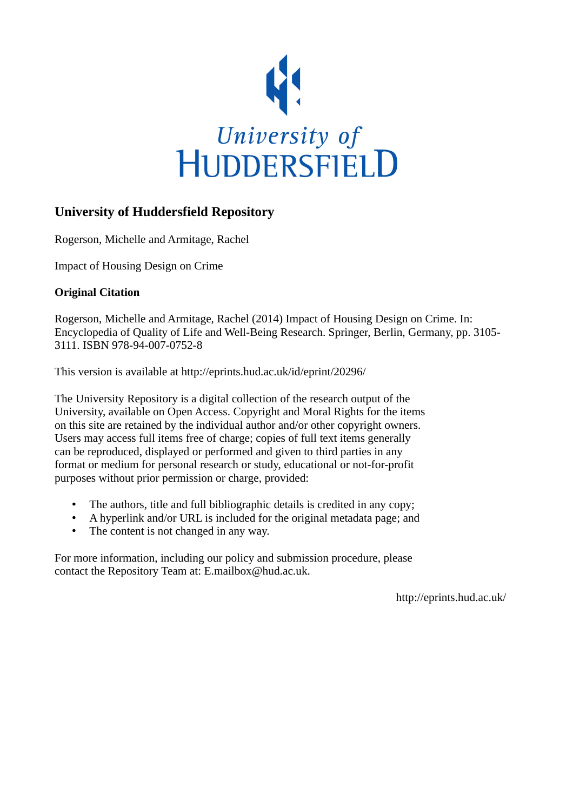

### **University of Huddersfield Repository**

Rogerson, Michelle and Armitage, Rachel

Impact of Housing Design on Crime

### **Original Citation**

Rogerson, Michelle and Armitage, Rachel (2014) Impact of Housing Design on Crime. In: Encyclopedia of Quality of Life and Well-Being Research. Springer, Berlin, Germany, pp. 3105- 3111. ISBN 978-94-007-0752-8

This version is available at http://eprints.hud.ac.uk/id/eprint/20296/

The University Repository is a digital collection of the research output of the University, available on Open Access. Copyright and Moral Rights for the items on this site are retained by the individual author and/or other copyright owners. Users may access full items free of charge; copies of full text items generally can be reproduced, displayed or performed and given to third parties in any format or medium for personal research or study, educational or not-for-profit purposes without prior permission or charge, provided:

- The authors, title and full bibliographic details is credited in any copy;
- A hyperlink and/or URL is included for the original metadata page; and
- The content is not changed in any way.

For more information, including our policy and submission procedure, please contact the Repository Team at: E.mailbox@hud.ac.uk.

http://eprints.hud.ac.uk/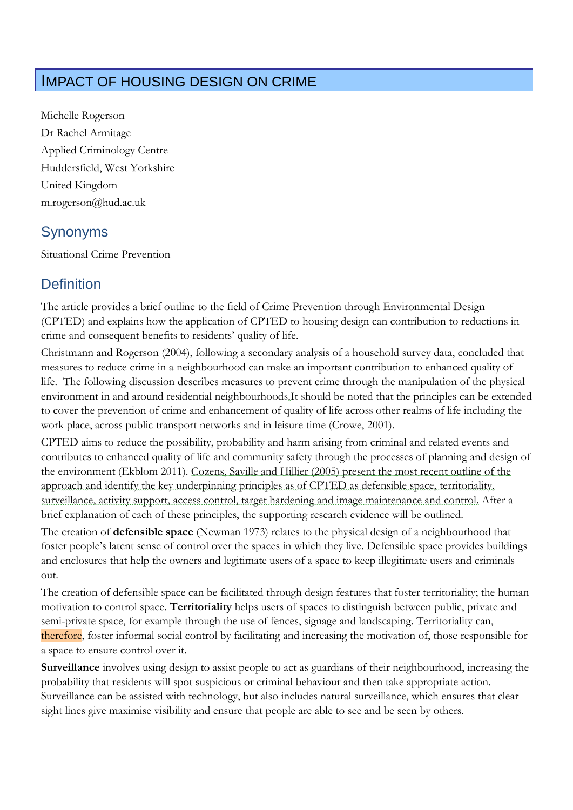# IMPACT OF HOUSING DESIGN ON CRIME

Michelle Rogerson Dr Rachel Armitage Applied Criminology Centre Huddersfield, West Yorkshire United Kingdom m.rogerson@hud.ac.uk

## Synonyms

Situational Crime Prevention

# **Definition**

The article provides a brief outline to the field of Crime Prevention through Environmental Design (CPTED) and explains how the application of CPTED to housing design can contribution to reductions in crime and consequent benefits to residents' quality of life.

Christmann and Rogerson (2004), following a secondary analysis of a household survey data, concluded that measures to reduce crime in a neighbourhood can make an important contribution to enhanced quality of life. The following discussion describes measures to prevent crime through the manipulation of the physical environment in and around residential neighbourhoods.It should be noted that the principles can be extended to cover the prevention of crime and enhancement of quality of life across other realms of life including the work place, across public transport networks and in leisure time (Crowe, 2001).

CPTED aims to reduce the possibility, probability and harm arising from criminal and related events and contributes to enhanced quality of life and community safety through the processes of planning and design of the environment (Ekblom 2011). Cozens, Saville and Hillier (2005) present the most recent outline of the approach and identify the key underpinning principles as of CPTED as defensible space, territoriality, surveillance, activity support, access control, target hardening and image maintenance and control. After a brief explanation of each of these principles, the supporting research evidence will be outlined.

The creation of **defensible space** (Newman 1973) relates to the physical design of a neighbourhood that foster people's latent sense of control over the spaces in which they live. Defensible space provides buildings and enclosures that help the owners and legitimate users of a space to keep illegitimate users and criminals out.

The creation of defensible space can be facilitated through design features that foster territoriality; the human motivation to control space. **Territoriality** helps users of spaces to distinguish between public, private and semi-private space, for example through the use of fences, signage and landscaping. Territoriality can, therefore, foster informal social control by facilitating and increasing the motivation of, those responsible for a space to ensure control over it.

**Surveillance** involves using design to assist people to act as guardians of their neighbourhood, increasing the probability that residents will spot suspicious or criminal behaviour and then take appropriate action. Surveillance can be assisted with technology, but also includes natural surveillance, which ensures that clear sight lines give maximise visibility and ensure that people are able to see and be seen by others.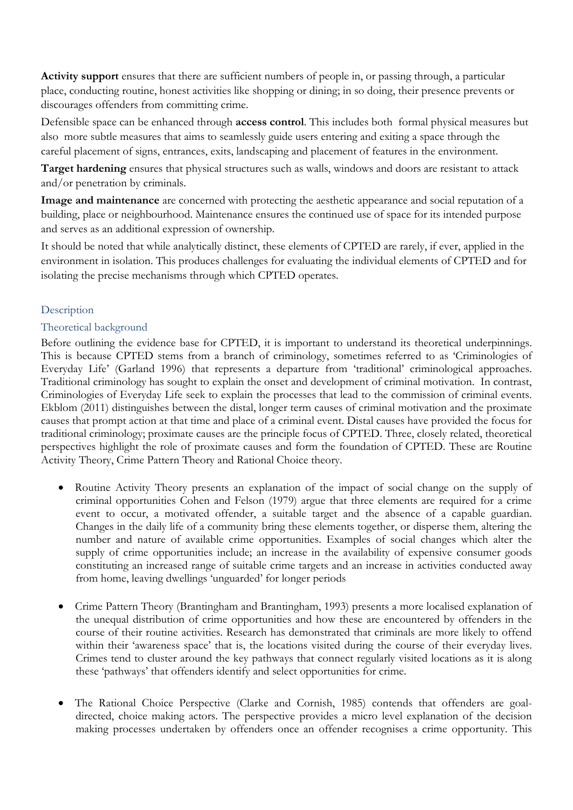**Activity support** ensures that there are sufficient numbers of people in, or passing through, a particular place, conducting routine, honest activities like shopping or dining; in so doing, their presence prevents or discourages offenders from committing crime.

Defensible space can be enhanced through **access control**. This includes both formal physical measures but also more subtle measures that aims to seamlessly guide users entering and exiting a space through the careful placement of signs, entrances, exits, landscaping and placement of features in the environment.

**Target hardening** ensures that physical structures such as walls, windows and doors are resistant to attack and/or penetration by criminals.

**Image and maintenance** are concerned with protecting the aesthetic appearance and social reputation of a building, place or neighbourhood. Maintenance ensures the continued use of space for its intended purpose and serves as an additional expression of ownership.

It should be noted that while analytically distinct, these elements of CPTED are rarely, if ever, applied in the environment in isolation. This produces challenges for evaluating the individual elements of CPTED and for isolating the precise mechanisms through which CPTED operates.

### Description

### Theoretical background

Before outlining the evidence base for CPTED, it is important to understand its theoretical underpinnings. This is because CPTED stems from a branch of criminology, sometimes referred to as 'Criminologies of Everyday Life' (Garland 1996) that represents a departure from 'traditional' criminological approaches. Traditional criminology has sought to explain the onset and development of criminal motivation. In contrast, Criminologies of Everyday Life seek to explain the processes that lead to the commission of criminal events. Ekblom (2011) distinguishes between the distal, longer term causes of criminal motivation and the proximate causes that prompt action at that time and place of a criminal event. Distal causes have provided the focus for traditional criminology; proximate causes are the principle focus of CPTED. Three, closely related, theoretical perspectives highlight the role of proximate causes and form the foundation of CPTED. These are Routine Activity Theory, Crime Pattern Theory and Rational Choice theory.

- Routine Activity Theory presents an explanation of the impact of social change on the supply of criminal opportunities Cohen and Felson (1979) argue that three elements are required for a crime event to occur, a motivated offender, a suitable target and the absence of a capable guardian. Changes in the daily life of a community bring these elements together, or disperse them, altering the number and nature of available crime opportunities. Examples of social changes which alter the supply of crime opportunities include; an increase in the availability of expensive consumer goods constituting an increased range of suitable crime targets and an increase in activities conducted away from home, leaving dwellings 'unguarded' for longer periods
- Crime Pattern Theory (Brantingham and Brantingham, 1993) presents a more localised explanation of the unequal distribution of crime opportunities and how these are encountered by offenders in the course of their routine activities. Research has demonstrated that criminals are more likely to offend within their 'awareness space' that is, the locations visited during the course of their everyday lives. Crimes tend to cluster around the key pathways that connect regularly visited locations as it is along these 'pathways' that offenders identify and select opportunities for crime.
- The Rational Choice Perspective (Clarke and Cornish, 1985) contends that offenders are goaldirected, choice making actors. The perspective provides a micro level explanation of the decision making processes undertaken by offenders once an offender recognises a crime opportunity. This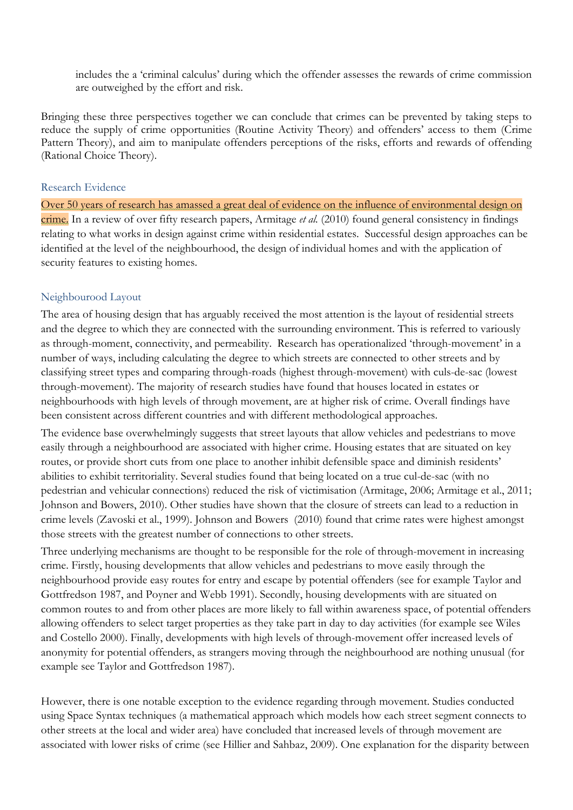includes the a 'criminal calculus' during which the offender assesses the rewards of crime commission are outweighed by the effort and risk.

Bringing these three perspectives together we can conclude that crimes can be prevented by taking steps to reduce the supply of crime opportunities (Routine Activity Theory) and offenders' access to them (Crime Pattern Theory), and aim to manipulate offenders perceptions of the risks, efforts and rewards of offending (Rational Choice Theory).

#### Research Evidence

Over 50 years of research has amassed a great deal of evidence on the influence of environmental design on crime. In a review of over fifty research papers, Armitage *et al.* (2010) found general consistency in findings relating to what works in design against crime within residential estates. Successful design approaches can be identified at the level of the neighbourhood, the design of individual homes and with the application of security features to existing homes.

#### Neighbourood Layout

The area of housing design that has arguably received the most attention is the layout of residential streets and the degree to which they are connected with the surrounding environment. This is referred to variously as through-moment, connectivity, and permeability. Research has operationalized 'through-movement' in a number of ways, including calculating the degree to which streets are connected to other streets and by classifying street types and comparing through-roads (highest through-movement) with culs-de-sac (lowest through-movement). The majority of research studies have found that houses located in estates or neighbourhoods with high levels of through movement, are at higher risk of crime. Overall findings have been consistent across different countries and with different methodological approaches.

The evidence base overwhelmingly suggests that street layouts that allow vehicles and pedestrians to move easily through a neighbourhood are associated with higher crime. Housing estates that are situated on key routes, or provide short cuts from one place to another inhibit defensible space and diminish residents' abilities to exhibit territoriality. Several studies found that being located on a true cul-de-sac (with no pedestrian and vehicular connections) reduced the risk of victimisation (Armitage, 2006; Armitage et al., 2011; Johnson and Bowers, 2010). Other studies have shown that the closure of streets can lead to a reduction in crime levels (Zavoski et al., 1999). Johnson and Bowers (2010) found that crime rates were highest amongst those streets with the greatest number of connections to other streets.

Three underlying mechanisms are thought to be responsible for the role of through-movement in increasing crime. Firstly, housing developments that allow vehicles and pedestrians to move easily through the neighbourhood provide easy routes for entry and escape by potential offenders (see for example Taylor and Gottfredson 1987, and Poyner and Webb 1991). Secondly, housing developments with are situated on common routes to and from other places are more likely to fall within awareness space, of potential offenders allowing offenders to select target properties as they take part in day to day activities (for example see Wiles and Costello 2000). Finally, developments with high levels of through-movement offer increased levels of anonymity for potential offenders, as strangers moving through the neighbourhood are nothing unusual (for example see Taylor and Gottfredson 1987).

However, there is one notable exception to the evidence regarding through movement. Studies conducted using Space Syntax techniques (a mathematical approach which models how each street segment connects to other streets at the local and wider area) have concluded that increased levels of through movement are associated with lower risks of crime (see Hillier and Sahbaz, 2009). One explanation for the disparity between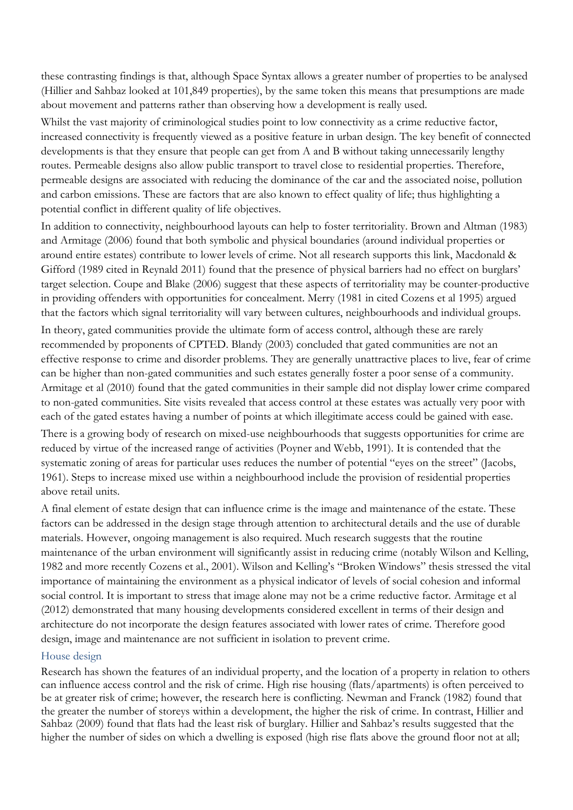these contrasting findings is that, although Space Syntax allows a greater number of properties to be analysed (Hillier and Sahbaz looked at 101,849 properties), by the same token this means that presumptions are made about movement and patterns rather than observing how a development is really used.

Whilst the vast majority of criminological studies point to low connectivity as a crime reductive factor, increased connectivity is frequently viewed as a positive feature in urban design. The key benefit of connected developments is that they ensure that people can get from A and B without taking unnecessarily lengthy routes. Permeable designs also allow public transport to travel close to residential properties. Therefore, permeable designs are associated with reducing the dominance of the car and the associated noise, pollution and carbon emissions. These are factors that are also known to effect quality of life; thus highlighting a potential conflict in different quality of life objectives.

In addition to connectivity, neighbourhood layouts can help to foster territoriality. Brown and Altman (1983) and Armitage (2006) found that both symbolic and physical boundaries (around individual properties or around entire estates) contribute to lower levels of crime. Not all research supports this link, Macdonald & Gifford (1989 cited in Reynald 2011) found that the presence of physical barriers had no effect on burglars' target selection. Coupe and Blake (2006) suggest that these aspects of territoriality may be counter-productive in providing offenders with opportunities for concealment. Merry (1981 in cited Cozens et al 1995) argued that the factors which signal territoriality will vary between cultures, neighbourhoods and individual groups.

In theory, gated communities provide the ultimate form of access control, although these are rarely recommended by proponents of CPTED. Blandy (2003) concluded that gated communities are not an effective response to crime and disorder problems. They are generally unattractive places to live, fear of crime can be higher than non-gated communities and such estates generally foster a poor sense of a community. Armitage et al (2010) found that the gated communities in their sample did not display lower crime compared to non-gated communities. Site visits revealed that access control at these estates was actually very poor with each of the gated estates having a number of points at which illegitimate access could be gained with ease.

There is a growing body of research on mixed-use neighbourhoods that suggests opportunities for crime are reduced by virtue of the increased range of activities (Poyner and Webb, 1991). It is contended that the systematic zoning of areas for particular uses reduces the number of potential "eyes on the street" (Jacobs, 1961). Steps to increase mixed use within a neighbourhood include the provision of residential properties above retail units.

A final element of estate design that can influence crime is the image and maintenance of the estate. These factors can be addressed in the design stage through attention to architectural details and the use of durable materials. However, ongoing management is also required. Much research suggests that the routine maintenance of the urban environment will significantly assist in reducing crime (notably Wilson and Kelling, 1982 and more recently Cozens et al., 2001). Wilson and Kelling's "Broken Windows" thesis stressed the vital importance of maintaining the environment as a physical indicator of levels of social cohesion and informal social control. It is important to stress that image alone may not be a crime reductive factor. Armitage et al (2012) demonstrated that many housing developments considered excellent in terms of their design and architecture do not incorporate the design features associated with lower rates of crime. Therefore good design, image and maintenance are not sufficient in isolation to prevent crime.

#### House design

Research has shown the features of an individual property, and the location of a property in relation to others can influence access control and the risk of crime. High rise housing (flats/apartments) is often perceived to be at greater risk of crime; however, the research here is conflicting. Newman and Franck (1982) found that the greater the number of storeys within a development, the higher the risk of crime. In contrast, Hillier and Sahbaz (2009) found that flats had the least risk of burglary. Hillier and Sahbaz's results suggested that the higher the number of sides on which a dwelling is exposed (high rise flats above the ground floor not at all;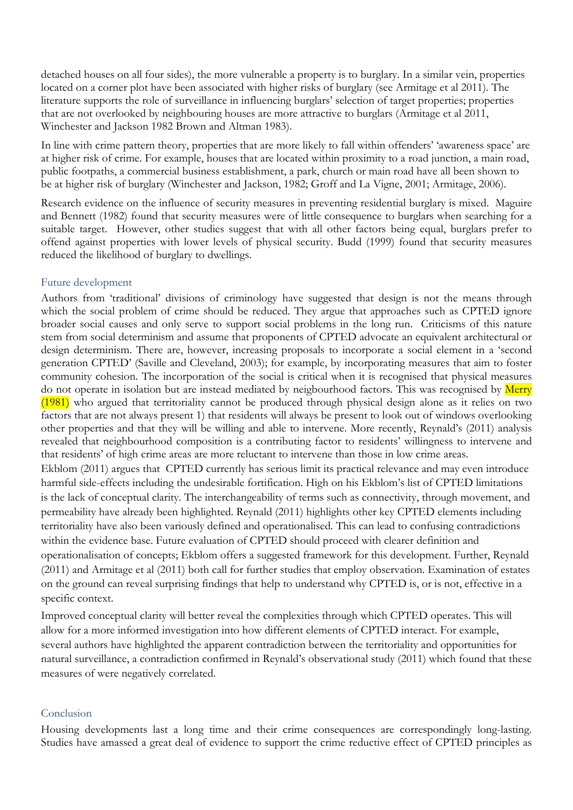detached houses on all four sides), the more vulnerable a property is to burglary. In a similar vein, properties located on a corner plot have been associated with higher risks of burglary (see Armitage et al 2011). The literature supports the role of surveillance in influencing burglars' selection of target properties; properties that are not overlooked by neighbouring houses are more attractive to burglars (Armitage et al 2011, Winchester and Jackson 1982 Brown and Altman 1983).

In line with crime pattern theory, properties that are more likely to fall within offenders' 'awareness space' are at higher risk of crime. For example, houses that are located within proximity to a road junction, a main road, public footpaths, a commercial business establishment, a park, church or main road have all been shown to be at higher risk of burglary (Winchester and Jackson, 1982; Groff and La Vigne, 2001; Armitage, 2006).

Research evidence on the influence of security measures in preventing residential burglary is mixed. Maguire and Bennett (1982) found that security measures were of little consequence to burglars when searching for a suitable target. However, other studies suggest that with all other factors being equal, burglars prefer to offend against properties with lower levels of physical security. Budd (1999) found that security measures reduced the likelihood of burglary to dwellings.

#### Future development

Authors from 'traditional' divisions of criminology have suggested that design is not the means through which the social problem of crime should be reduced. They argue that approaches such as CPTED ignore broader social causes and only serve to support social problems in the long run. Criticisms of this nature stem from social determinism and assume that proponents of CPTED advocate an equivalent architectural or design determinism. There are, however, increasing proposals to incorporate a social element in a 'second generation CPTED' (Saville and Cleveland, 2003); for example, by incorporating measures that aim to foster community cohesion. The incorporation of the social is critical when it is recognised that physical measures do not operate in isolation but are instead mediated by neigbourhood factors. This was recognised by Merry (1981) who argued that territoriality cannot be produced through physical design alone as it relies on two factors that are not always present 1) that residents will always be present to look out of windows overlooking other properties and that they will be willing and able to intervene. More recently, Reynald's (2011) analysis revealed that neighbourhood composition is a contributing factor to residents' willingness to intervene and that residents' of high crime areas are more reluctant to intervene than those in low crime areas. Ekblom (2011) argues that CPTED currently has serious limit its practical relevance and may even introduce harmful side-effects including the undesirable fortification. High on his Ekblom's list of CPTED limitations is the lack of conceptual clarity. The interchangeability of terms such as connectivity, through movement, and permeability have already been highlighted. Reynald (2011) highlights other key CPTED elements including territoriality have also been variously defined and operationalised. This can lead to confusing contradictions within the evidence base. Future evaluation of CPTED should proceed with clearer definition and operationalisation of concepts; Ekblom offers a suggested framework for this development. Further, Reynald (2011) and Armitage et al (2011) both call for further studies that employ observation. Examination of estates

on the ground can reveal surprising findings that help to understand why CPTED is, or is not, effective in a specific context.

Improved conceptual clarity will better reveal the complexities through which CPTED operates. This will allow for a more informed investigation into how different elements of CPTED interact. For example, several authors have highlighted the apparent contradiction between the territoriality and opportunities for natural surveillance, a contradiction confirmed in Reynald's observational study (2011) which found that these measures of were negatively correlated.

#### Conclusion

Housing developments last a long time and their crime consequences are correspondingly long-lasting. Studies have amassed a great deal of evidence to support the crime reductive effect of CPTED principles as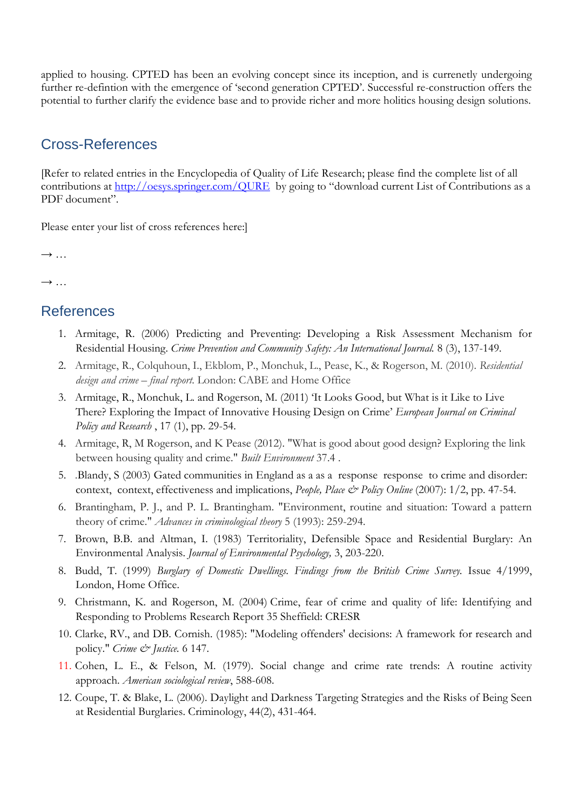applied to housing. CPTED has been an evolving concept since its inception, and is currenetly undergoing further re-defintion with the emergence of 'second generation CPTED'. Successful re-construction offers the potential to further clarify the evidence base and to provide richer and more holitics housing design solutions.

## Cross-References

[Refer to related entries in the Encyclopedia of Quality of Life Research; please find the complete list of all contributions at<http://oesys.springer.com/QURE>by going to "download current List of Contributions as a PDF document".

Please enter your list of cross references here:]

 $\rightarrow$  …

 $\rightarrow$  ...

## References

- 1. Armitage, R. (2006) Predicting and Preventing: Developing a Risk Assessment Mechanism for Residential Housing. *Crime Prevention and Community Safety: An International Journal.* 8 (3), 137-149.
- 2. Armitage, R., Colquhoun, I., Ekblom, P., Monchuk, L., Pease, K., & Rogerson, M. (2010). *Residential design and crime – final report*. London: CABE and Home Office
- 3. Armitage, R., Monchuk, L. and Rogerson, M. (2011) 'It Looks Good, but What is it Like to Live There? Exploring the Impact of Innovative Housing Design on Crime' *European Journal on Criminal Policy and Research* , 17 (1), pp. 29-54.
- 4. Armitage, R, M Rogerson, and K Pease (2012). "What is good about good design? Exploring the link between housing quality and crime." *Built Environment* 37.4 .
- 5. .Blandy, S (2003) Gated communities in England as a as a response response to crime and disorder: context, context, effectiveness and implications, *People, Place & Policy Online* (2007): 1/2, pp. 47-54.
- 6. Brantingham, P. J., and P. L. Brantingham. "Environment, routine and situation: Toward a pattern theory of crime." *Advances in criminological theory* 5 (1993): 259-294.
- 7. Brown, B.B. and Altman, I. (1983) Territoriality, Defensible Space and Residential Burglary: An Environmental Analysis. *Journal of Environmental Psychology,* 3, 203-220.
- 8. Budd, T. (1999) *Burglary of Domestic Dwellings. Findings from the British Crime Survey.* Issue 4/1999, London, Home Office.
- 9. Christmann, K. and Rogerson, M. (2004) [Crime, fear of crime and quality of life: Identifying and](http://eprints.hud.ac.uk/454)  [Responding to Problems Research Report 35](http://eprints.hud.ac.uk/454) Sheffield: CRESR
- 10. Clarke, RV., and DB. Cornish. (1985): "Modeling offenders' decisions: A framework for research and policy." *Crime & Justice.* 6 147.
- 11. Cohen, L. E., & Felson, M. (1979). Social change and crime rate trends: A routine activity approach. *American sociological review*, 588-608.
- 12. Coupe, T. & Blake, L. (2006). Daylight and Darkness Targeting Strategies and the Risks of Being Seen at Residential Burglaries. Criminology, 44(2), 431-464.